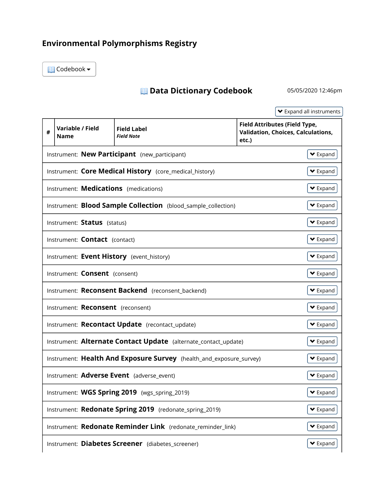## Environmental Polymorphisms Registry

Codebook

## Data Dictionary Codebook 05/05/2020 12:46pm

 Expand all instruments # Variable / Field Validation, Choices, Calculations, Instrument: Core Medical History (core\_medical\_history) Instrument: **Blood Sample Collection** (blood\_sample\_collection) Instrument: Alternate Contact Update (alternate\_contact\_update) Instrument: Health And Exposure Survey (health\_and\_exposure\_survey) Instrument: WGS Spring 2019 (wgs\_spring\_2019) Instrument: Redonate Spring 2019 (redonate\_spring\_2019) Instrument: Redonate Reminder Link (redonate\_reminder\_link)  $\blacktriangleright$  Expand Expand Name Field Label Field Note Field Attributes (Field Type, etc.) Instrument: **New Participant** (new participant)  $\blacktriangleright$  Expand  $\blacktriangleright$  Expand  $\blacktriangleright$  Expand Instrument: **Medications** (medications) Instrument: Status (status)  $\blacktriangleright$  Expand  $\blacktriangleright$  Expand  $\blacktriangleright$  Expand Instrument: **Contact** (contact) Instrument: Event History (event\_history) Instrument: Consent (consent)  $\blacktriangleright$  Expand  $\blacktriangleright$  Expand  $\blacktriangleright$  Expand Instrument: Reconsent Backend (reconsent backend) Instrument: Reconsent (reconsent) Instrument: Recontact Update (recontact update) **▼** Expand  $\blacktriangleright$  Expand  $\blacktriangleright$  Expand Instrument: Adverse Event (adverse event)  $\blacktriangleright$  Expand  $\blacktriangleright$  Expand  $\blacktriangleright$  Expand Instrument: Diabetes Screener (diabetes screener) expanded and the Expanded V Expanded v Expanded v Expanded v Expanded v Expanded v Expanded v Expanded v Expanded v Expanded v Expanded v Expanded v Expanded v Expanded v E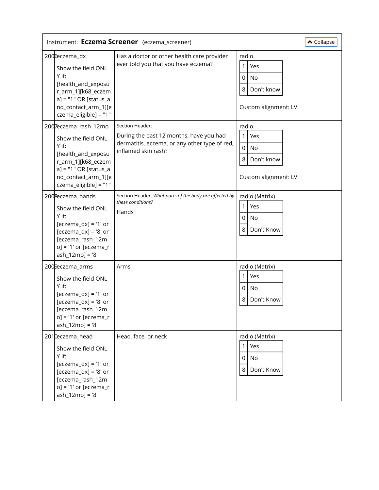| $\triangle$ Collapse<br>Instrument: Eczema Screener (eczema_screener)                                                                                                       |                                                                                                                                    |                                                                         |  |  |
|-----------------------------------------------------------------------------------------------------------------------------------------------------------------------------|------------------------------------------------------------------------------------------------------------------------------------|-------------------------------------------------------------------------|--|--|
| 2006eczema_dx<br>Show the field ONL<br>$Y$ if:<br>[health_and_exposu<br>r_arm_1][k68_eczem<br>$a$ ] = "1" OR [status_a<br>nd_contact_arm_1][e<br>czema_eligible] = "1"      | Has a doctor or other health care provider<br>ever told you that you have eczema?                                                  | radio<br>Yes<br>1<br>0<br>No<br>8<br>Don't know<br>Custom alignment: LV |  |  |
| 2007eczema_rash_12mo<br>Show the field ONL<br>Y if:<br>[health_and_exposu<br>r_arm_1][k68_eczem<br>$a$ ] = "1" OR [status_a<br>nd_contact_arm_1][e<br>czema_eligible] = "1" | Section Header:<br>During the past 12 months, have you had<br>dermatitis, eczema, or any other type of red,<br>inflamed skin rash? | radio<br>1<br>Yes<br>0<br>No<br>8<br>Don't know<br>Custom alignment: LV |  |  |
| 2008eczema_hands<br>Show the field ONL<br>Y if:<br>$[eczema_dx] = '1'$ or<br>$[eczema_dx] = '8'$ or<br>[eczema_rash_12m<br>$o$ ] = '1' or [eczema_r<br>ash_12mo] = '8'      | Section Header: What parts of the body are affected by<br>these conditions?<br>Hands                                               | radio (Matrix)<br>1<br>Yes<br>0<br>No<br>8<br>Don't Know                |  |  |
| 2009eczema_arms<br>Show the field ONL<br>Y if:<br>$[eczema_dx] = '1'$ or<br>$[eczema_dx] = '8'$ or<br>[eczema_rash_12m<br>$o] = '1'$ or [eczema_r<br>$ash_12mo] = '8'$      | Arms                                                                                                                               | radio (Matrix)<br>Yes<br>1<br>0<br>No<br>8<br>Don't Know                |  |  |
| 2010eczema_head<br>Show the field ONL<br>Y if:<br>$[eczema_dx] = '1'$ or<br>$[eczema_dx] = '8'$ or<br>[eczema_rash_12m<br>$o$ ] = '1' or [eczema_r<br>ash_12mo] = '8'       | Head, face, or neck                                                                                                                | radio (Matrix)<br>Yes<br>1<br>0<br>No<br>Don't Know<br>8                |  |  |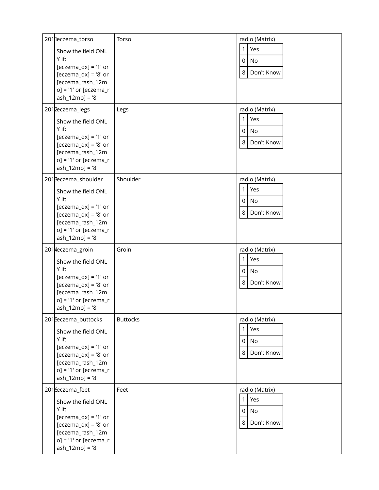| 201 leczema_torso<br>Show the field ONL<br>Y if:<br>$[eczema_dx] = '1'$ or<br>$[eczema_dx] = '8'$ or<br>[eczema_rash_12m<br>$o] = '1'$ or [eczema_r<br>ash_12mo] = '8'<br>201 <sub>2</sub> eczema_legs<br>Show the field ONL<br>Y if:<br>$[eczema_dx] = '1'$ or<br>$[eczema_dx] = '8'$ or<br>[eczema_rash_12m<br>$o] = '1'$ or [eczema_r<br>ash_12mo] = '8' | Torso<br>Legs   | radio (Matrix)<br>Yes<br>1<br>0<br>No<br>8<br>Don't Know<br>radio (Matrix)<br>Yes<br>$\mathbf{1}$<br>0<br>No<br>8<br>Don't Know |
|-------------------------------------------------------------------------------------------------------------------------------------------------------------------------------------------------------------------------------------------------------------------------------------------------------------------------------------------------------------|-----------------|---------------------------------------------------------------------------------------------------------------------------------|
| 2013eczema_shoulder<br>Show the field ONL<br>Y if:<br>$[eczema_dx] = '1'$ or<br>$[eczema_dx] = '8'$ or<br>[eczema_rash_12m<br>$o] = '1'$ or [eczema_r<br>ash_12mo] = '8'                                                                                                                                                                                    | Shoulder        | radio (Matrix)<br>Yes<br>1<br>0<br>No<br>8<br>Don't Know                                                                        |
| 2014eczema_groin<br>Show the field ONL<br>Y if:<br>$[eczema_dx] = '1'$ or<br>$[eczema_dx] = '8'$ or<br>[eczema_rash_12m<br>$o] = '1'$ or [eczema_r<br>ash_12mo] = '8'                                                                                                                                                                                       | Groin           | radio (Matrix)<br>Yes<br>$\mathbf{1}$<br>0<br>No<br>8<br>Don't Know                                                             |
| 2015eczema_buttocks<br>Show the field ONL<br>Y if:<br>$[eczema_dx] = '1'$ or<br>$[eczema_dx] = '8'$ or<br>[eczema_rash_12m<br>$o] = '1'$ or [eczema_r<br>ash_12mo] = '8'                                                                                                                                                                                    | <b>Buttocks</b> | radio (Matrix)<br>Yes<br>$\mathbf{1}$<br>0<br>No<br>Don't Know<br>8                                                             |
| 2016eczema_feet<br>Show the field ONL<br>Y if:<br>$[eczema_dx] = '1'$ or<br>$[eczema_dx] = '8'$ or<br>[eczema_rash_12m<br>$o] = '1'$ or [eczema_r<br>ash_12mo] = '8'                                                                                                                                                                                        | Feet            | radio (Matrix)<br>Yes<br>1<br>0<br>No<br>8<br>Don't Know                                                                        |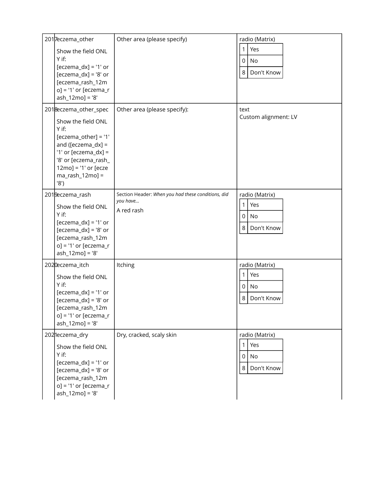| 2017eczema_other<br>Show the field ONL<br>$Y$ if:<br>$[eczema_dx] = '1'$ or<br>$[eczema_dx] = '8'$ or<br>[eczema_rash_12m<br>$o] = '1'$ or [eczema_r<br>ash_12mo] = '8'                                     | Other area (please specify)                                                  | radio (Matrix)<br>Yes<br>1<br>0<br>No<br>8<br>Don't Know |
|-------------------------------------------------------------------------------------------------------------------------------------------------------------------------------------------------------------|------------------------------------------------------------------------------|----------------------------------------------------------|
| 2018eczema_other_spec<br>Show the field ONL<br>Y if:<br>$[eczema\_other] = '1'$<br>and ([eczema_dx] =<br>'1' or [eczema_dx] =<br>'8' or [eczema_rash_<br>$12mo$ = '1' or [ecze<br>$ma\_rash_12mo] =$<br>'8' | Other area (please specify):                                                 | text<br>Custom alignment: LV                             |
| 2019eczema_rash<br>Show the field ONL<br>Y if:<br>$[eczema_dx] = '1'$ or<br>$[eczema_dx] = '8'$ or<br>[eczema_rash_12m<br>$o$ ] = '1' or [eczema_r<br>ash_12mo] = '8'                                       | Section Header: When you had these conditions, did<br>you have<br>A red rash | radio (Matrix)<br>Yes<br>1<br>0<br>No<br>8<br>Don't Know |
| 2020eczema_itch<br>Show the field ONL<br>Y if:<br>$[eczema_dx] = '1'$ or<br>$[eczema_dx] = '8'$ or<br>[eczema_rash_12m<br>$o] = '1'$ or [eczema_r<br>ash_12mo] = '8'                                        | Itching                                                                      | radio (Matrix)<br>Yes<br>1<br>0<br>No<br>8<br>Don't Know |
| 2021eczema_dry<br>Show the field ONL<br>Y if:<br>$[eczema_dx] = '1'$ or<br>$[eczema_dx] = '8'$ or<br>[eczema_rash_12m<br>$o] = '1'$ or [eczema_r<br>ash_12mo] = '8'                                         | Dry, cracked, scaly skin                                                     | radio (Matrix)<br>Yes<br>1<br>0<br>No<br>8<br>Don't Know |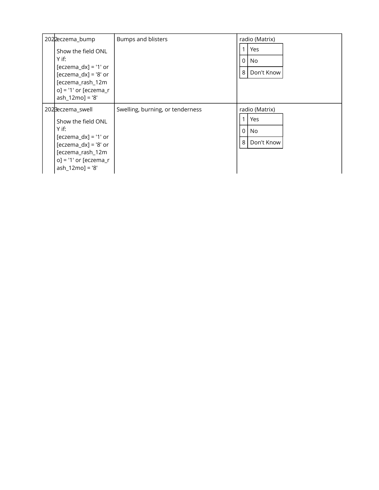| 2022eczema_bump                                                                                                                                                            | <b>Bumps and blisters</b>        | radio (Matrix)                                              |
|----------------------------------------------------------------------------------------------------------------------------------------------------------------------------|----------------------------------|-------------------------------------------------------------|
| Show the field ONL<br>Y if:<br>$[eczema_dx] = '1'$ or<br>$[eczema_dx] = '8'$ or<br>[eczema_rash_12m<br>$o$ ] = '1' or [eczema_r<br>$ash_12mo] = '8'$                       |                                  | Yes<br>$\Omega$<br>No.<br>8<br>Don't Know                   |
| 2023eczema_swell<br>Show the field ONL<br>$Y$ if:<br>$[eczema_dx] = '1'$ or<br>$[eczema_dx] = '8'$ or<br>[eczema_rash_12m<br>$o$ ] = '1' or [eczema_r<br>$ash_12mo] = '8'$ | Swelling, burning, or tenderness | radio (Matrix)<br>Yes<br>$\Omega$<br>No.<br>8<br>Don't Know |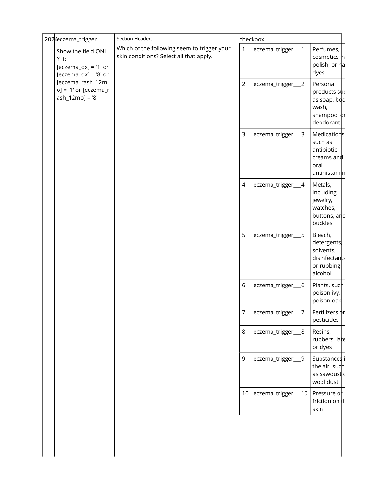| 2024eczema_trigger                                                                                                                                 | Section Header:                                                                        |                 | checkbox           |                                                                               |  |
|----------------------------------------------------------------------------------------------------------------------------------------------------|----------------------------------------------------------------------------------------|-----------------|--------------------|-------------------------------------------------------------------------------|--|
| Show the field ONL<br>Y if:<br>$[eczema_dx] = '1'$ or<br>$[eczema_dx] = '8'$ or<br>[eczema_rash_12m<br>$o$ ] = '1' or [eczema_r<br>ash_12mo] = '8' | Which of the following seem to trigger your<br>skin conditions? Select all that apply. | 1               | eczema_trigger__1  | Perfumes,<br>cosmetics, n<br>polish, or ha<br>dyes                            |  |
|                                                                                                                                                    |                                                                                        | $\overline{2}$  | eczema_trigger__2  | Personal<br>products suc<br>as soap, bod<br>wash,<br>shampoo, or<br>deodorant |  |
|                                                                                                                                                    |                                                                                        | 3               | eczema_trigger__3  | Medications,<br>such as<br>antibiotic<br>creams and<br>oral<br>antihistamin   |  |
|                                                                                                                                                    |                                                                                        | 4               | eczema_trigger__4  | Metals,<br>including<br>jewelry,<br>watches,<br>buttons, and<br>buckles       |  |
|                                                                                                                                                    |                                                                                        | 5               | eczema_trigger__5  | Bleach,<br>detergents,<br>solvents,<br>disinfectants<br>or rubbing<br>alcohol |  |
|                                                                                                                                                    |                                                                                        | 6               | eczema_trigger_6   | Plants, such<br>poison ivy,<br>poison oak                                     |  |
|                                                                                                                                                    |                                                                                        | 7               | eczema_trigger__7  | Fertilizers or<br>pesticides                                                  |  |
|                                                                                                                                                    |                                                                                        | 8               | eczema_trigger__8  | Resins,<br>rubbers, late<br>or dyes                                           |  |
|                                                                                                                                                    |                                                                                        | 9               | eczema_trigger__9  | Substances i<br>the air, such<br>as sawdust c<br>wool dust                    |  |
|                                                                                                                                                    |                                                                                        | 10 <sup>1</sup> | eczema_trigger__10 | Pressure or<br>friction on th<br>skin                                         |  |
|                                                                                                                                                    |                                                                                        |                 |                    |                                                                               |  |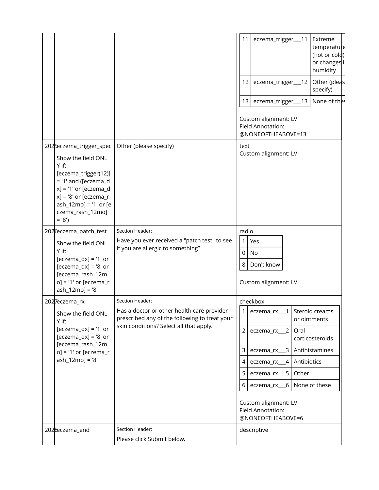|                                                                                                                                                                                                |                                                                                                                                        | 11<br>Extreme<br>eczema_trigger__11<br>temperature<br>(hot or cold)<br>or changes ii<br>humidity |  |  |
|------------------------------------------------------------------------------------------------------------------------------------------------------------------------------------------------|----------------------------------------------------------------------------------------------------------------------------------------|--------------------------------------------------------------------------------------------------|--|--|
|                                                                                                                                                                                                |                                                                                                                                        | Other (pleas<br>$12 \overline{ }$<br>eczema_trigger__12<br>specify)                              |  |  |
|                                                                                                                                                                                                |                                                                                                                                        | None of thes<br>13<br>eczema_trigger__13                                                         |  |  |
|                                                                                                                                                                                                |                                                                                                                                        | Custom alignment: LV<br>Field Annotation:<br>@NONEOFTHEABOVE=13                                  |  |  |
| 2025eczema_trigger_spec                                                                                                                                                                        | Other (please specify)                                                                                                                 | text                                                                                             |  |  |
| Show the field ONL<br>Y if:<br>[eczema_trigger(12)]<br>$=$ '1' and ([eczema_d<br>$x$ ] = '1' or [eczema_d<br>$x$ ] = '8' or [eczema_r<br>ash_12mo] = '1' or [e<br>czema_rash_12mo]<br>$= '8')$ |                                                                                                                                        | Custom alignment: LV                                                                             |  |  |
| 2026eczema_patch_test                                                                                                                                                                          | Section Header:                                                                                                                        | radio                                                                                            |  |  |
| Show the field ONL<br>Y if:                                                                                                                                                                    | Have you ever received a "patch test" to see<br>if you are allergic to something?                                                      | 1<br>Yes<br>0<br>No                                                                              |  |  |
| $[eczema_dx] = '1'$ or<br>$[eczema_dx] = '8'$ or                                                                                                                                               |                                                                                                                                        | 8<br>Don't know                                                                                  |  |  |
| [eczema_rash_12m<br>$o$ ] = '1' or [eczema_r<br>ash_12mo] = '8'                                                                                                                                |                                                                                                                                        | Custom alignment: LV                                                                             |  |  |
| 2027eczema_rx                                                                                                                                                                                  | Section Header:                                                                                                                        | checkbox                                                                                         |  |  |
| Show the field ONL<br>Y if:                                                                                                                                                                    | Has a doctor or other health care provider<br>prescribed any of the following to treat your<br>skin conditions? Select all that apply. | 1<br>eczema_rx__1<br>Steroid creams<br>or ointments                                              |  |  |
| $[eczema_dx] = '1'$ or<br>$[eczema_dx] = '8'$ or<br>[eczema_rash_12m<br>$o$ ] = '1' or [eczema_r<br>$ash_12mo] = '8'$                                                                          |                                                                                                                                        | $\overline{2}$<br>eczema_rx__2<br>Oral<br>corticosteroids                                        |  |  |
|                                                                                                                                                                                                |                                                                                                                                        | 3<br>Antihistamines<br>$eczema_r x_3$                                                            |  |  |
|                                                                                                                                                                                                |                                                                                                                                        | Antibiotics<br>4<br>$\overline{4}$<br>eczema_rx_                                                 |  |  |
|                                                                                                                                                                                                |                                                                                                                                        | Other<br>5<br>eczema_rx__5                                                                       |  |  |
|                                                                                                                                                                                                |                                                                                                                                        | None of these<br>6<br>eczema_rx_<br>6                                                            |  |  |
|                                                                                                                                                                                                |                                                                                                                                        | Custom alignment: LV<br>Field Annotation:<br>@NONEOFTHEABOVE=6                                   |  |  |
| 2028eczema_end                                                                                                                                                                                 | Section Header:<br>Please click Submit below.                                                                                          | descriptive                                                                                      |  |  |